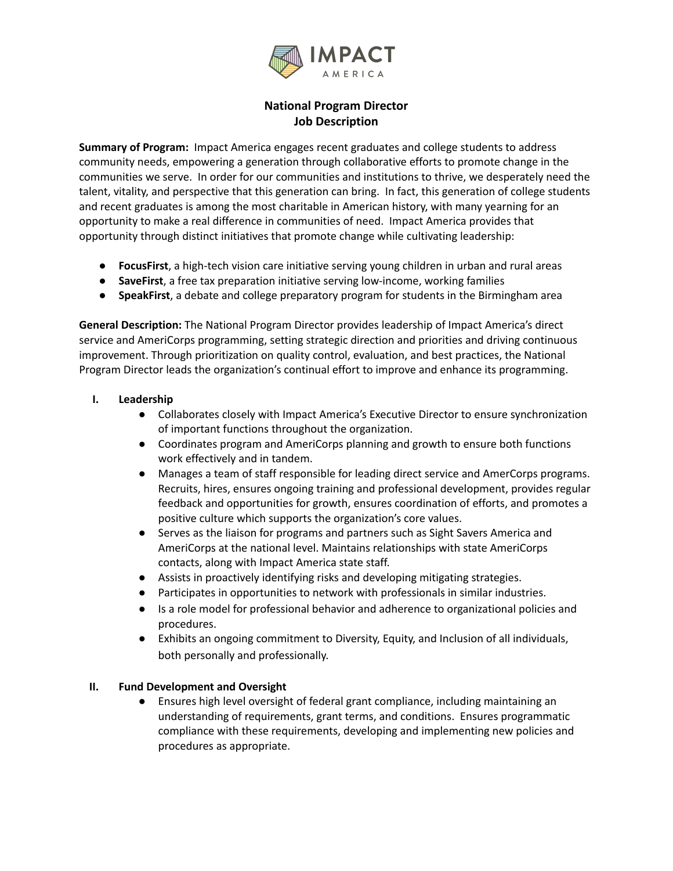

# **National Program Director Job Description**

**Summary of Program:** Impact America engages recent graduates and college students to address community needs, empowering a generation through collaborative efforts to promote change in the communities we serve. In order for our communities and institutions to thrive, we desperately need the talent, vitality, and perspective that this generation can bring. In fact, this generation of college students and recent graduates is among the most charitable in American history, with many yearning for an opportunity to make a real difference in communities of need. Impact America provides that opportunity through distinct initiatives that promote change while cultivating leadership:

- **FocusFirst**, a high-tech vision care initiative serving young children in urban and rural areas
- **SaveFirst**, a free tax preparation initiative serving low-income, working families
- **SpeakFirst**, a debate and college preparatory program for students in the Birmingham area

**General Description:** The National Program Director provides leadership of Impact America's direct service and AmeriCorps programming, setting strategic direction and priorities and driving continuous improvement. Through prioritization on quality control, evaluation, and best practices, the National Program Director leads the organization's continual effort to improve and enhance its programming.

- **I. Leadership**
	- Collaborates closely with Impact America's Executive Director to ensure synchronization of important functions throughout the organization.
	- Coordinates program and AmeriCorps planning and growth to ensure both functions work effectively and in tandem.
	- Manages a team of staff responsible for leading direct service and AmerCorps programs. Recruits, hires, ensures ongoing training and professional development, provides regular feedback and opportunities for growth, ensures coordination of efforts, and promotes a positive culture which supports the organization's core values.
	- Serves as the liaison for programs and partners such as Sight Savers America and AmeriCorps at the national level. Maintains relationships with state AmeriCorps contacts, along with Impact America state staff.
	- Assists in proactively identifying risks and developing mitigating strategies.
	- Participates in opportunities to network with professionals in similar industries.
	- Is a role model for professional behavior and adherence to organizational policies and procedures.
	- Exhibits an ongoing commitment to Diversity, Equity, and Inclusion of all individuals, both personally and professionally.

#### **II. Fund Development and Oversight**

**●** Ensures high level oversight of federal grant compliance, including maintaining an understanding of requirements, grant terms, and conditions. Ensures programmatic compliance with these requirements, developing and implementing new policies and procedures as appropriate.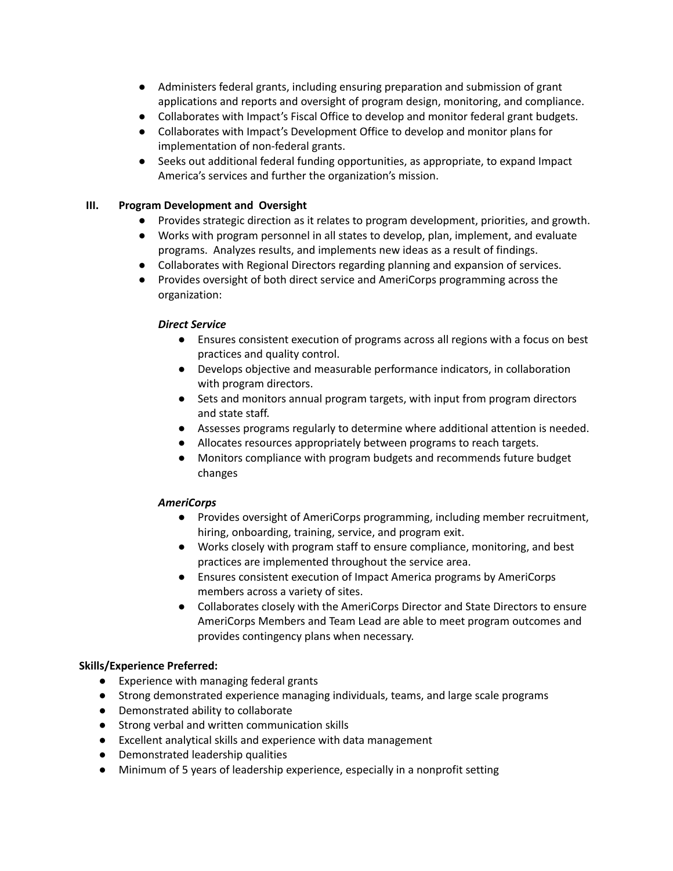- **●** Administers federal grants, including ensuring preparation and submission of grant applications and reports and oversight of program design, monitoring, and compliance.
- **●** Collaborates with Impact's Fiscal Office to develop and monitor federal grant budgets.
- Collaborates with Impact's Development Office to develop and monitor plans for implementation of non-federal grants.
- **●** Seeks out additional federal funding opportunities, as appropriate, to expand Impact America's services and further the organization's mission.

#### **III. Program Development and Oversight**

- Provides strategic direction as it relates to program development, priorities, and growth.
- Works with program personnel in all states to develop, plan, implement, and evaluate programs. Analyzes results, and implements new ideas as a result of findings.
- Collaborates with Regional Directors regarding planning and expansion of services.
- Provides oversight of both direct service and AmeriCorps programming across the organization:

## *Direct Service*

- Ensures consistent execution of programs across all regions with a focus on best practices and quality control.
- Develops objective and measurable performance indicators, in collaboration with program directors.
- Sets and monitors annual program targets, with input from program directors and state staff.
- Assesses programs regularly to determine where additional attention is needed.
- Allocates resources appropriately between programs to reach targets.
- Monitors compliance with program budgets and recommends future budget changes

#### *AmeriCorps*

- Provides oversight of AmeriCorps programming, including member recruitment, hiring, onboarding, training, service, and program exit.
- Works closely with program staff to ensure compliance, monitoring, and best practices are implemented throughout the service area.
- Ensures consistent execution of Impact America programs by AmeriCorps members across a variety of sites.
- Collaborates closely with the AmeriCorps Director and State Directors to ensure AmeriCorps Members and Team Lead are able to meet program outcomes and provides contingency plans when necessary.

#### **Skills/Experience Preferred:**

- Experience with managing federal grants
- Strong demonstrated experience managing individuals, teams, and large scale programs
- Demonstrated ability to collaborate
- Strong verbal and written communication skills
- Excellent analytical skills and experience with data management
- Demonstrated leadership qualities
- Minimum of 5 years of leadership experience, especially in a nonprofit setting